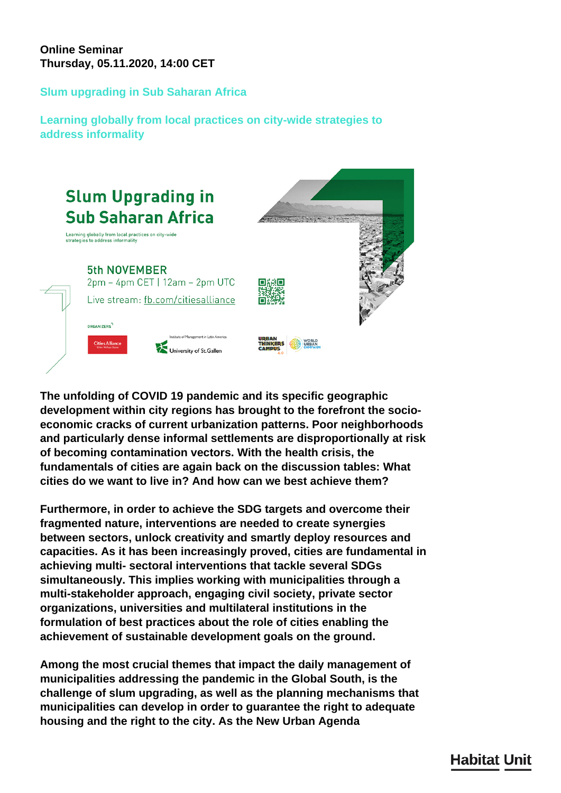## **Online Seminar Thursday, 05.11.2020, 14:00 CET**

## **Slum upgrading in Sub Saharan Africa**

**Learning globally from local practices on city-wide strategies to address informality**



**The unfolding of COVID 19 pandemic and its specific geographic development within city regions has brought to the forefront the socioeconomic cracks of current urbanization patterns. Poor neighborhoods and particularly dense informal settlements are disproportionally at risk of becoming contamination vectors. With the health crisis, the fundamentals of cities are again back on the discussion tables: What cities do we want to live in? And how can we best achieve them?**

**Furthermore, in order to achieve the SDG targets and overcome their fragmented nature, interventions are needed to create synergies between sectors, unlock creativity and smartly deploy resources and capacities. As it has been increasingly proved, cities are fundamental in achieving multi- sectoral interventions that tackle several SDGs simultaneously. This implies working with municipalities through a multi-stakeholder approach, engaging civil society, private sector organizations, universities and multilateral institutions in the formulation of best practices about the role of cities enabling the achievement of sustainable development goals on the ground.**

**Among the most crucial themes that impact the daily management of municipalities addressing the pandemic in the Global South, is the challenge of slum upgrading, as well as the planning mechanisms that municipalities can develop in order to guarantee the right to adequate housing and the right to the city. As the New Urban Agenda**

## **Habitat Unit**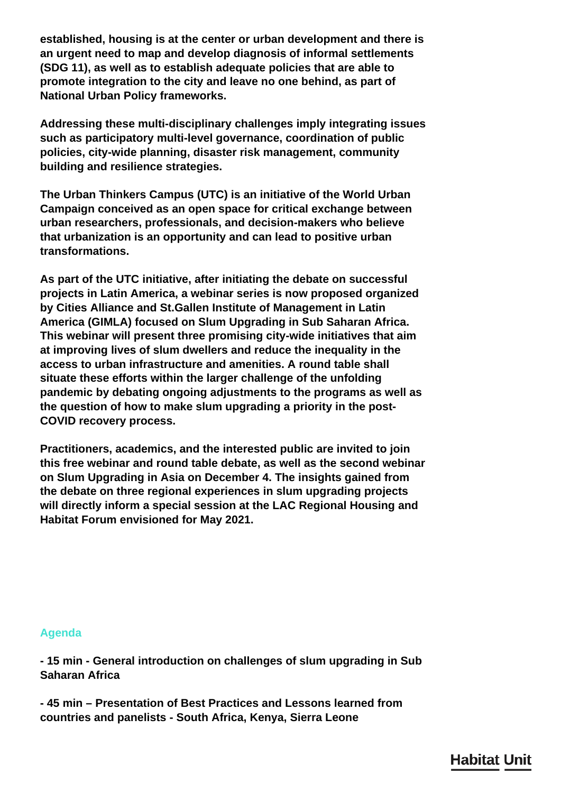**established, housing is at the center or urban development and there is an urgent need to map and develop diagnosis of informal settlements (SDG 11), as well as to establish adequate policies that are able to promote integration to the city and leave no one behind, as part of National Urban Policy frameworks.**

**Addressing these multi-disciplinary challenges imply integrating issues such as participatory multi-level governance, coordination of public policies, city-wide planning, disaster risk management, community building and resilience strategies.**

**The Urban Thinkers Campus (UTC) is an initiative of the World Urban Campaign conceived as an open space for critical exchange between urban researchers, professionals, and decision-makers who believe that urbanization is an opportunity and can lead to positive urban transformations.**

**As part of the UTC initiative, after initiating the debate on successful projects in Latin America, a webinar series is now proposed organized by Cities Alliance and St.Gallen Institute of Management in Latin America (GIMLA) focused on Slum Upgrading in Sub Saharan Africa. This webinar will present three promising city-wide initiatives that aim at improving lives of slum dwellers and reduce the inequality in the access to urban infrastructure and amenities. A round table shall situate these efforts within the larger challenge of the unfolding pandemic by debating ongoing adjustments to the programs as well as the question of how to make slum upgrading a priority in the post-COVID recovery process.**

**Practitioners, academics, and the interested public are invited to join this free webinar and round table debate, as well as the second webinar on Slum Upgrading in Asia on December 4. The insights gained from the debate on three regional experiences in slum upgrading projects will directly inform a special session at the LAC Regional Housing and Habitat Forum envisioned for May 2021.**

## **Agenda**

**- 15 min - General introduction on challenges of slum upgrading in Sub Saharan Africa**

**- 45 min – Presentation of Best Practices and Lessons learned from countries and panelists - South Africa, Kenya, Sierra Leone**